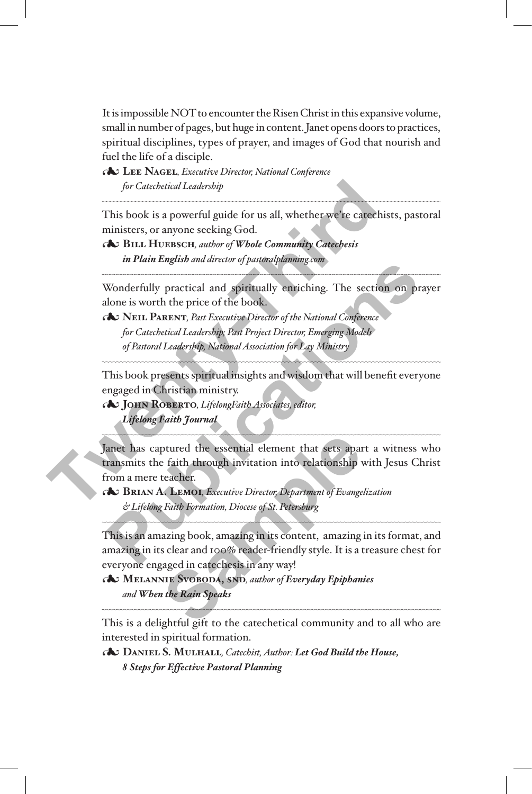It is impossible NOT to encounter the Risen Christ in this expansive volume, small in number of pages, but huge in content. Janet opens doors to practices, spiritual disciplines, types of prayer, and images of God that nourish and fuel the life of a disciple.

3**Lee Nagel***, Executive Director, National Conference for Catechetical Leadership*

This book is a powerful guide for us all, whether we're catechists, pastoral ministers, or anyone seeking God.

3**Bill Huebsch***, author of Whole Community Catechesis in Plain English and director of pastoralplanning.com*

Wonderfully practical and spiritually enriching. The section on prayer alone is worth the price of the book.

3**Neil Parent***, Past Executive Director of the National Conference for Catechetical Leadership; Past Project Director, Emerging Models of Pastoral Leadership, National Association for Lay Ministry*

This book presents spiritual insights and wisdom that will benefit everyone engaged in Christian ministry.

3**John Roberto***, LifelongFaith Associates, editor, Lifelong Faith Journal*

Janet has captured the essential element that sets apart a witness who transmits the faith through invitation into relationship with Jesus Christ from a mere teacher. for *Catebetical Leadership*<br>
This book is a powerful guide for us all, whether we're catechist<br>
ministers, or anyone seeking God.<br> **AS BILL HUEBSCH**, *author of Whole Community Catechesis*<br>
in Plain English and director o **Publication**<br> **Publication**<br> **Publication**<br> **Publication**<br> **Publication**<br> **Publication**<br> **Publication**<br> **Publication**<br> **Publication**<br> **Publication**<br> **Publication**<br> **Publication**<br> **Publication**<br> **Publication**<br> **Publication** ptured the essential element that sets apartement for the set of the formation into relationship<br>teacher.<br>**A. LEMOT**, *Executive Director*, *Department of Evange*<br>*Faith Formation, Diocese of St. Petersburg*<br>azing book, am

3**Brian A. Lemoi***, Executive Director, Department of Evangelization & Lifelong Faith Formation, Diocese of St. Petersburg*

This is an amazing book, amazing in its content, amazing in its format, and amazing in its clear and 100% reader-friendly style. It is a treasure chest for everyone engaged in catechesis in any way!

3**Melannie Svoboda, snd***, author of Everyday Epiphanies and When the Rain Speaks*

This is a delightful gift to the catechetical community and to all who are interested in spiritual formation.

3**Daniel S. Mulhall***, Catechist, Author: Let God Build the House, 8 Steps for Effective Pastoral Planning*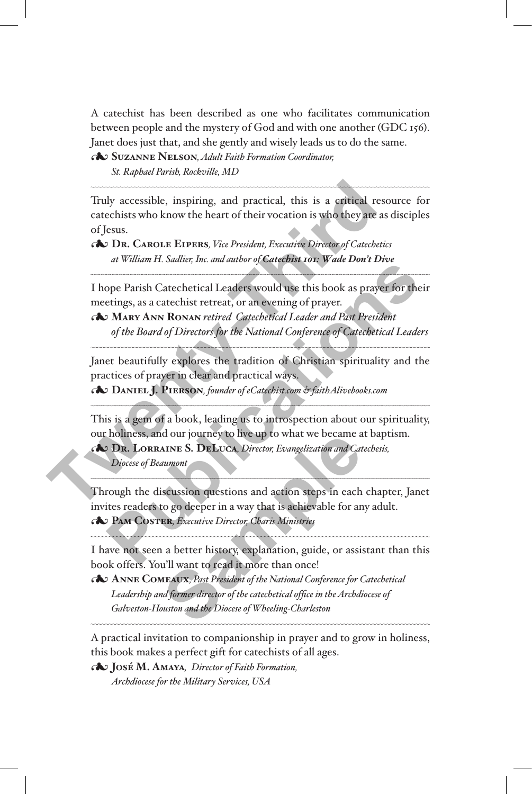A catechist has been described as one who facilitates communication between people and the mystery of God and with one another (GDC 156). Janet does just that, and she gently and wisely leads us to do the same.

3**Suzanne Nelson***, Adult Faith Formation Coordinator, St. Raphael Parish, Rockville, MD*

Truly accessible, inspiring, and practical, this is a critical resource for catechists who know the heart of their vocation is who they are as disciples of Jesus. Truly accessible, inspiring, and practical, this is a critical resoluted<br>catechists who know the heart of their vocation is who they are as of<br>Series of Jesus.<br> **The CAROLE EIPERS**, *Vice President, Executive Director of C* 

3**Dr. Carole Eipers***, Vice President, Executive Director of Catechetics at William H. Sadlier, Inc. and author of Catechist 101: Wade Don't Dive*

I hope Parish Catechetical Leaders would use this book as prayer for their meetings, as a catechist retreat, or an evening of prayer.

3**Mary Ann Ronan** *retired Catechetical Leader and Past President of the Board of Directors for the National Conference of Catechetical Leaders*

Janet beautifully explores the tradition of Christian spirituality and the practices of prayer in clear and practical ways.

3**Daniel J. Pierson***, founder of eCatechist.com & faithAlivebooks.com*

This is a gem of a book, leading us to introspection about our spirituality, our holiness, and our journey to live up to what we became at baptism.

3**Dr. Lorraine S. DeLuca***, Director, Evangelization and Catechesis,* 

*Diocese of Beaumont*

 $\overline{\phantom{a}}$ 

 $\overline{\phantom{a}}$ 

 $\overline{\phantom{a}}$ 

Through the discussion questions and action steps in each chapter, Janet invites readers to go deeper in a way that is achievable for any adult. 3**Pam Coster***, Executive Director, Charis Ministries* **PHERIM AT STATE ISLAMATE SCRIP (SETTLARATE)**<br>
The Dependent Catechetical Leaders would use this book as prayer for their<br>
PUARY ANN RONAN retired. Catechetical Leader and Past President<br> *Publication of Directors for the* In the Director, Evangelization and Catal<br>
MINE S. DELUCA, Director, Evangelization and Catal<br>
aumont<br>
Sicussion questions and action steps in each<br>
to go deeper in a way that is achievable for an<br>
ER, Executive Director,

I have not seen a better history, explanation, guide, or assistant than this book offers. You'll want to read it more than once!

3**Anne Comeaux***, Past President of the National Conference for Catechetical Leadership and former director of the catechetical office in the Archdiocese of Galveston-Houston and the Diocese of Wheeling-Charleston*

A practical invitation to companionship in prayer and to grow in holiness, this book makes a perfect gift for catechists of all ages.

3**José M. Amaya***,**Director of Faith Formation, Archdiocese for the Military Services, USA*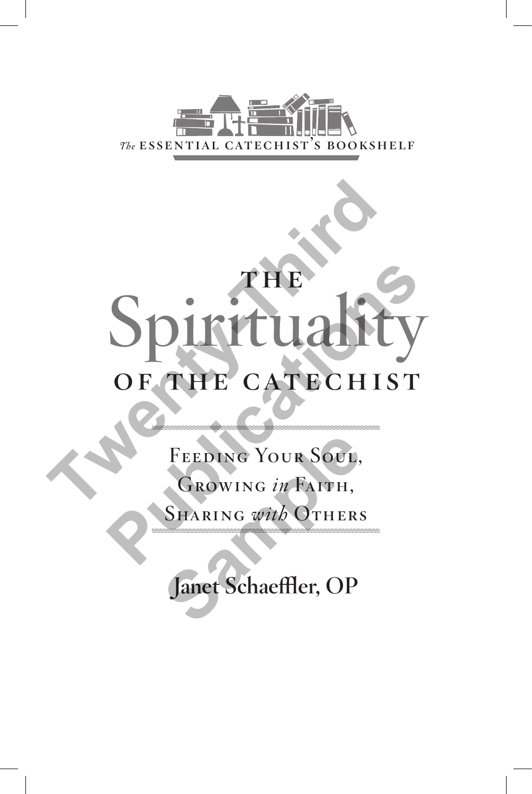

# THE Spirituality<br>OF THE CATECHIST Spiritualit **PUBLICATES**<br>
OF THE CATECHIST<br>
FEEDING YOUR SOUL,<br>
GROWING *in* FAITH,<br>
SHARING *with* OTHERS

FEEDING YOUR SOUL, Growing *in* Faith, Sharing *with* Others FEEDING YOUR SOUL,<br>GROWING *in* FAITH,<br>SHARING with OTHERS

Janet Schaeffler, OP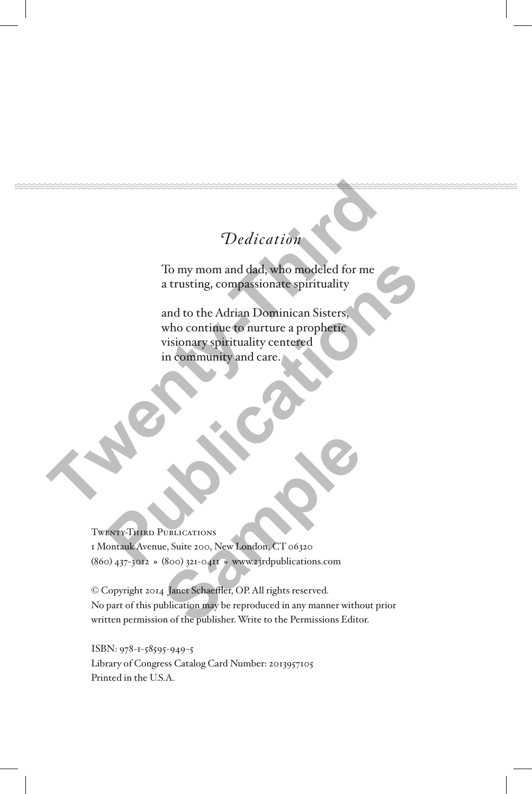### Dedication

To my mom and dad, who modeled for me a trusting, compassionate spirituality

and to the Adrian Dominican Sisters, who continue to nurture a prophetic visionary spirituality centered in community and care. Dedication<br>To my mom and dad, who modeled for me<br>a trusting, compassionate spirituality<br>and to the Adrian Dominican Sisters<br>who continue to nurture a prophetic<br>visionary spirituality centered<br>in community and care. To my mom and dad, who modeled for me<br>
a trusting, compassionate spirituality<br>
and to the Adrian Dominican Sisters,<br>
who contrinue to nurture a prophetic<br>
visionary spirituality centered<br>
in community and care.<br>
in communi

Twenty-Third Publications 1 Montauk Avenue, Suite 200, New London, CT 06320 (860) 437-3012 **»** (800) 321-0411 **»** www.23rdpublications.com

© Copyright 2014 Janet Schaeffler, OP. All rights reserved. No part of this publication may be reproduced in any manner without prior written permission of the publisher. Write to the Permissions Editor. **SUBLICATIONS**<br>
RESULTATIONS<br>
RESULTATIONS<br>
RESULTATIONS<br>
SAMPLE SCHELL SUPER SUPPORT OF 201300<br>
SAMPLE SCHELL SUPER SUPERFORM AND THE SUPERFORM ON THE SUPERFORM ON THE SUPERFORM ON THE SUPERFORM OF THE SUPERFORM OF THE SU

ISBN: 978-1-58595-949-5 Library of Congress Catalog Card Number: 2013957105 Printed in the U.S.A.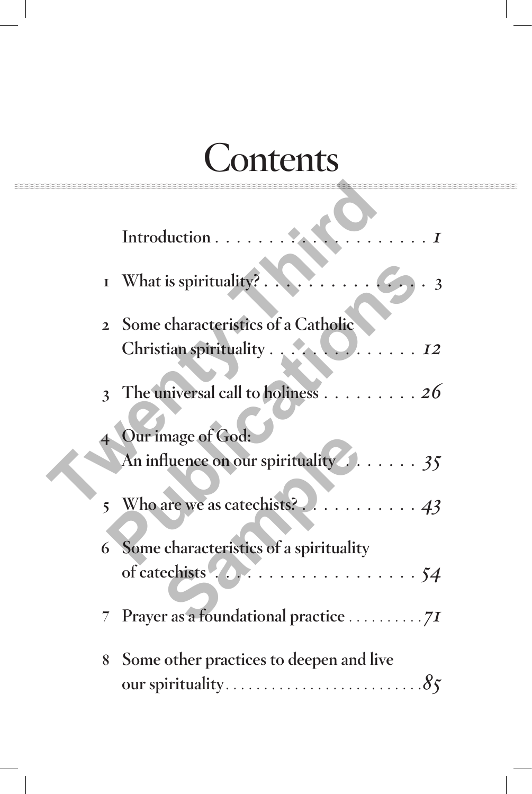# **Contents**

|   | $\mathbb{R}^2$<br>Introduction<br>$\boldsymbol{I}$                |
|---|-------------------------------------------------------------------|
|   | $\overline{3}$                                                    |
|   | 2 Some characteristics of a Catholic                              |
|   | 3 The universal call to holiness 26                               |
|   | Our image of God:<br>An influence on our spirituality 2.  35      |
|   |                                                                   |
|   | 6 Some characteristics of a spirituality                          |
|   |                                                                   |
| 8 | Some other practices to deepen and live<br>our spirituality<br>85 |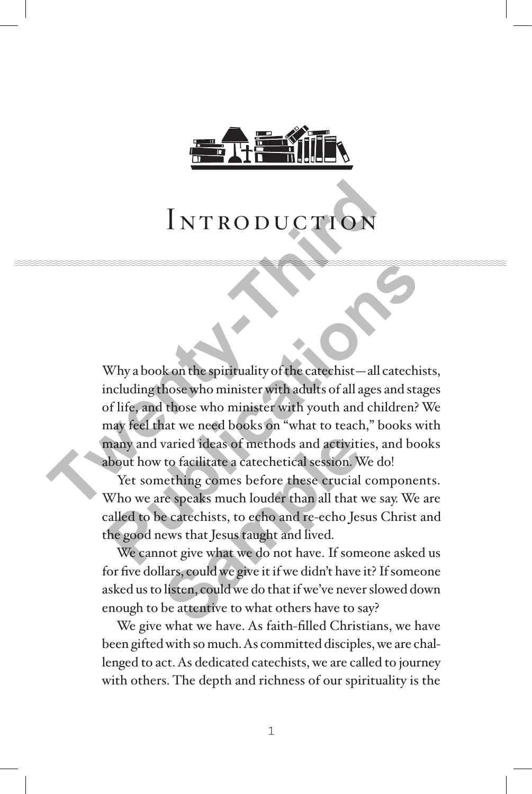

## INTRODUCTION

Why a book on the spirituality of the catechist—all catechists, including those who minister with adults of all ages and stages of life, and those who minister with youth and children? We may feel that we need books on "what to teach," books with many and varied ideas of methods and activities, and books about how to facilitate a catechetical session. We do! INTRODUCTION<br>Why a book on the spirituality of the cateshist—all calculating those who minister with adults of all ages are of life, and those who minister with adults of all ages are of life, and those who minister with y Why a book on the spirituality of the catechist—all catechists<br>ncluding those who minister with adults of all ages and stage<br>of life, and those who minister with youth and children? W<br>may feel that we need books on "what t

Yet something comes before these crucial components. Who we are speaks much louder than all that we say. We are called to be catechists, to echo and re-echo Jesus Christ and the good news that Jesus taught and lived.

We cannot give what we do not have. If someone asked us for five dollars, could we give it if we didn't have it? If someone asked us to listen, could we do that if we've never slowed down enough to be attentive to what others have to say? varied ideas of methods and activitive to facilitate a catechetical session. Whething comes before these crucial<br>re speaks much louder than all that vecatechists, to echo and re-echo Jes<br>ews that Jesus taught and lived.<br>no

We give what we have. As faith-filled Christians, we have been gifted with so much. As committed disciples, we are challenged to act. As dedicated catechists, we are called to journey with others. The depth and richness of our spirituality is the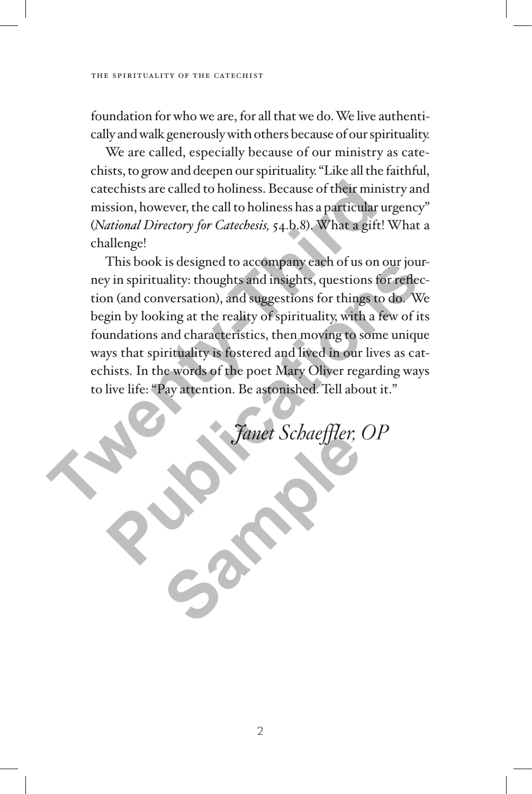foundation for who we are, for all that we do. We live authentically and walk generously with others because of our spirituality.

We are called, especially because of our ministry as catechists, to grow and deepen our spirituality. "Like all the faithful, catechists are called to holiness. Because of their ministry and mission, however, the call to holiness has a particular urgency" (*National Directory for Catechesis,* 54.b.8). What a gift! What a challenge!

This book is designed to accompany each of us on our journey in spirituality: thoughts and insights, questions for reflection (and conversation), and suggestions for things to do. We begin by looking at the reality of spirituality, with a few of its foundations and characteristics, then moving to some unique ways that spirituality is fostered and lived in our lives as catechists. In the words of the poet Mary Oliver regarding ways to live life: "Pay attention. Be astonished. Tell about it." catechists are called to holiness. Because of their minist<br>mission, however, the call to holiness has a particular ur<br>(*National Directory for Catechesis*, 54.b.8). What a gift! *N*<br>challenge!<br>This book is designed to acco I his book is designed to accompany each or us on our jour-<br>y in spirituality: thoughts and insights, questions for reflec-<br>in (and conversation), and suggestions for things to do. We<br>gin by looking at the reality of spiri

<sup>F</sup>anet Schaeffler, OP **Same Schaeffler**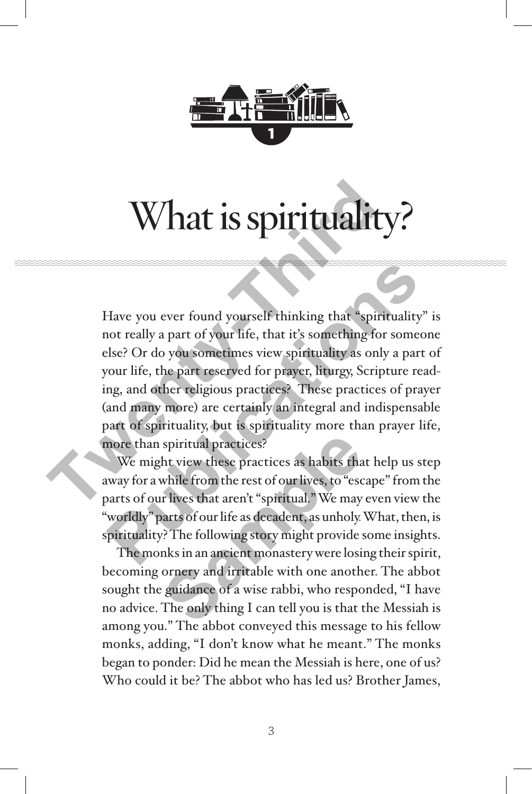

# What is spirituality?

Have you ever found yourself thinking that "spirituality" is not really a part of your life, that it's something for someone else? Or do you sometimes view spirituality as only a part of your life, the part reserved for prayer, liturgy, Scripture reading, and other religious practices? These practices of prayer (and many more) are certainly an integral and indispensable part of spirituality, but is spirituality more than prayer life, more than spiritual practices? What is spirituality<br>Have you ever found yourself thinking that "spirit<br>not really a part of your life, that it's something for s<br>else? Or do you sometimes view spirituality as only<br>your life, the part reserved for prayer, Have you ever found yourself thinking that "spirituality" is<br>not really a part of your life, that it's something for someon<br>slse? Or do you sometimes view spirituality as only a part cour<br>life, the part reserved for prayer

We might view these practices as habits that help us step away for a while from the rest of our lives, to "escape" from the parts of our lives that aren't "spiritual." We may even view the "worldly" parts of our life as decadent, as unholy. What, then, is spirituality? The following story might provide some insights. spiritual practices?<br>
At view these practices as habits that<br>
while from the rest of our lives, to "esc<br>
ir lives that aren't "spiritual." We may<br>
parts of our life as decadent, as unholy.<br>
2? The following story might pro

The monks in an ancient monastery were losing their spirit, becoming ornery and irritable with one another. The abbot sought the guidance of a wise rabbi, who responded, "I have no advice. The only thing I can tell you is that the Messiah is among you." The abbot conveyed this message to his fellow monks, adding, "I don't know what he meant." The monks began to ponder: Did he mean the Messiah is here, one of us? Who could it be? The abbot who has led us? Brother James,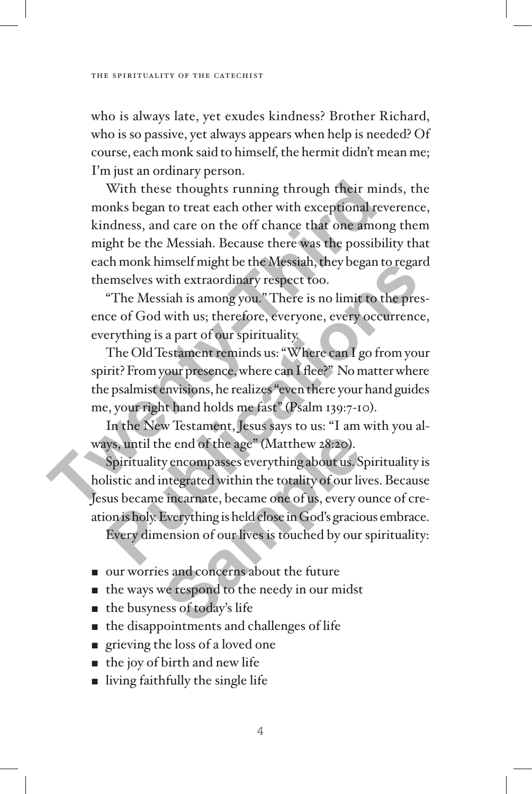who is always late, yet exudes kindness? Brother Richard, who is so passive, yet always appears when help is needed? Of course, each monk said to himself, the hermit didn't mean me; I'm just an ordinary person.

With these thoughts running through their minds, the monks began to treat each other with exceptional reverence, kindness, and care on the off chance that one among them might be the Messiah. Because there was the possibility that each monk himself might be the Messiah, they began to regard themselves with extraordinary respect too. With these thoughts running through their min<br>monks began to treat each other with exceptional reve<br>kindness, and care on the off chance that one among<br>might be the Messiah. Because there was the possibili<br>each monk himsel

"The Messiah is among you." There is no limit to the presence of God with us; therefore, everyone, every occurrence, everything is a part of our spirituality.

The Old Testament reminds us: "Where can I go from your spirit? From your presence, where can I flee?" No matter where the psalmist envisions, he realizes "even there your hand guides me, your right hand holds me fast" (Psalm 139:7-10).

In the New Testament, Jesus says to us: "I am with you always, until the end of the age" (Matthew 28:20).

Spirituality encompasses everything about us. Spirituality is holistic and integrated within the totality of our lives. Because Jesus became incarnate, became one of us, every ounce of creation is holy. Everything is held close in God's gracious embrace. Every dimension of our lives is touched by our spirituality: Example 10 and the set of the Nessian, they began to regard<br>
emselves with extraordinary respect too.<br>
"The Messiah is among you." There is no limit to the pres-<br>
ce of God with us; therefore, everyone, every occurrence,<br> he end of the age" (Matthew 28:20).<br>y encompasses everything about us. S<br>integrated within the totality of our life<br>incarnate, became one of us, every c<br>Everything is held close in God's gracic<br>nension of our lives is touc

- our worries and concerns about the future
- $\blacksquare$  the ways we respond to the needy in our midst
- $\blacksquare$  the busyness of today's life
- $\blacksquare$  the disappointments and challenges of life
- $\blacksquare$  grieving the loss of a loved one
- $\blacksquare$  the joy of birth and new life
- $\blacksquare$  living faithfully the single life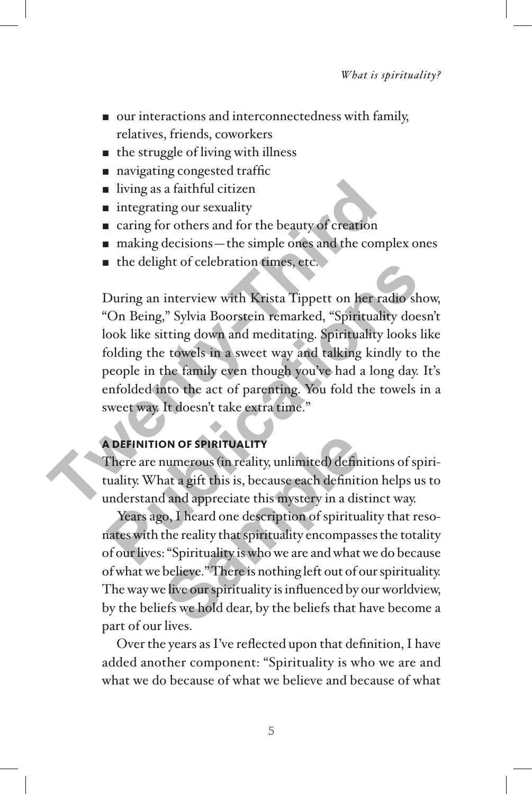- $\blacksquare$  our interactions and interconnectedness with family, relatives, friends, coworkers
- $\blacksquare$  the struggle of living with illness
- navigating congested traffic
- $\blacksquare$  living as a faithful citizen
- $\blacksquare$  integrating our sexuality
- caring for others and for the beauty of creation
- $\blacksquare$  making decisions—the simple ones and the complex ones
- $\blacksquare$  the delight of celebration times, etc.

During an interview with Krista Tippett on her radio show, "On Being," Sylvia Boorstein remarked, "Spirituality doesn't look like sitting down and meditating. Spirituality looks like folding the towels in a sweet way and talking kindly to the people in the family even though you've had a long day. It's enfolded into the act of parenting. You fold the towels in a sweet way. It doesn't take extra time." I ving as a faithful citizen<br>
I integrating our sexuality<br>
The caring for others and for the beauty of creation<br>
The delight of celebration times, etc.<br>
During an interview with Krista Tippett on her rad<br>
"On Being," Sylvi The delignt or celebration times, etc.<br>
During an interview with Krista Tippett on her radio show<br>
On Being," Sylvia Boorstein remarked, "Spirituality doesn<br>
ook like sitting down and meditating. Spirituality looks like<br>
f

#### **A definition of spirituality**

There are numerous (in reality, unlimited) definitions of spirituality. What a gift this is, because each definition helps us to understand and appreciate this mystery in a distinct way.

Years ago, I heard one description of spirituality that resonates with the reality that spirituality encompasses the totality of our lives: "Spirituality is who we are and what we do because of what we believe." There is nothing left out of our spirituality. The way we live our spirituality is influenced by our worldview, by the beliefs we hold dear, by the beliefs that have become a part of our lives. **ON OF SPIRITUALITY**<br>
numerous (in reality, unlimited) defin<br>
nat a gift this is, because each definitity<br>
d and appreciate this mystery in a dis<br>
10, I heard one description of spiritua<br>
the reality that spirituality enco

Over the years as I've reflected upon that definition, I have added another component: "Spirituality is who we are and what we do because of what we believe and because of what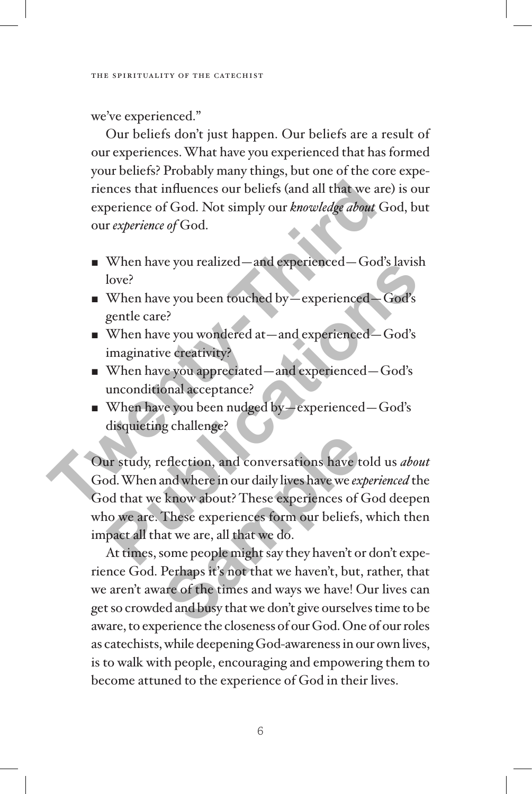we've experienced."

Our beliefs don't just happen. Our beliefs are a result of our experiences. What have you experienced that has formed your beliefs? Probably many things, but one of the core experiences that influences our beliefs (and all that we are) is our experience of God. Not simply our *knowledge about* God, but our *experience of* God.

- When have you realized—and experienced—God's lavish love?
- When have you been touched by—experienced—God's gentle care?
- When have you wondered at —and experienced—God's imaginative creativity?
- When have you appreciated—and experienced—God's unconditional acceptance?
- When have you been nudged by—experienced—God's disquieting challenge?

Our study, reflection, and conversations have told us *about* God. When and where in our daily lives have we *experienced* the God that we know about? These experiences of God deepen who we are. These experiences form our beliefs, which then impact all that we are, all that we do. riences that influences our beliefs (and all that we are)<br>
experience of God. Not simply our *knowledge about* Go<br>
our *experience of* God.<br>
<br> **Two-Rightard Constrainer Constrainer Constrainer Constrainer Constrainer When** When have you realized—and experienced—God's lavish<br>love?<br>When have you been touched by—experienced—God's<br>gentle care?<br>When have you wondered at—and experienced—God's<br>imaginative creativity?<br>When have you appreciated—and e eflection, and conversations have t<br>and where in our daily lives have we ex-<br>know about? These experiences of (<br>These experiences form our beliefs,<br>at we are, all that we do.<br>some people might say they haven't of<br>Perhaps i

At times, some people might say they haven't or don't experience God. Perhaps it's not that we haven't, but, rather, that we aren't aware of the times and ways we have! Our lives can get so crowded and busy that we don't give ourselves time to be aware, to experience the closeness of our God. One of our roles as catechists, while deepening God-awareness in our own lives, is to walk with people, encouraging and empowering them to become attuned to the experience of God in their lives.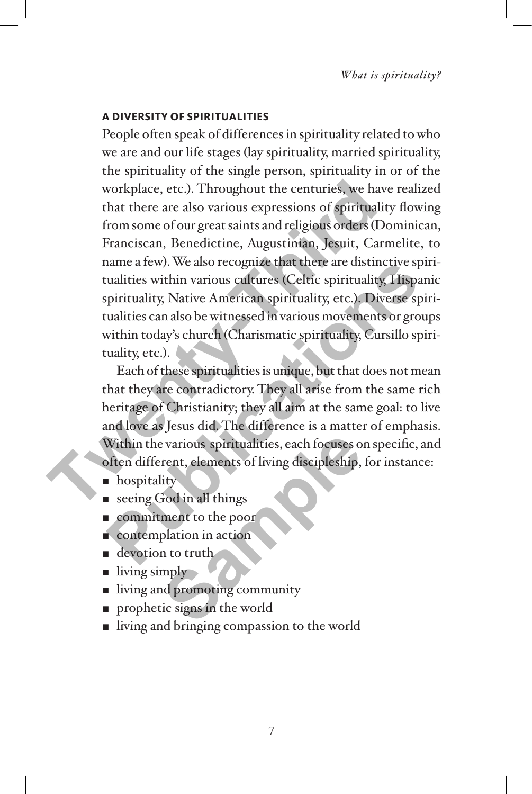#### **A diversity of spiritualities**

People often speak of differences in spirituality related to who we are and our life stages (lay spirituality, married spirituality, the spirituality of the single person, spirituality in or of the workplace, etc.). Throughout the centuries, we have realized that there are also various expressions of spirituality flowing from some of our great saints and religious orders (Dominican, Franciscan, Benedictine, Augustinian, Jesuit, Carmelite, to name a few). We also recognize that there are distinctive spiritualities within various cultures (Celtic spirituality, Hispanic spirituality, Native American spirituality, etc.). Diverse spiritualities can also be witnessed in various movements or groups within today's church (Charismatic spirituality, Cursillo spirituality, etc.). **The Matter School School School School School School School School School School School School School School School School School School School School School School School School School School School School School School** 

Each of these spiritualities is unique, but that does not mean that they are contradictory. They all arise from the same rich heritage of Christianity; they all aim at the same goal: to live and love as Jesus did. The difference is a matter of emphasis. Within the various spiritualities, each focuses on specific, and often different, elements of living discipleship, for instance: France a rew). We also recognize that there are distinctive spiritualities within various cultures (Celtic spirituality, Hispani ppirituality, Native American spirituality, etc.). Diverse spiritualities can also be witness Provides a spiritualities, each focuses of<br>
Samples of living discipleship,<br>
Samples and things<br>
Samples of living and things<br>
Samples and the poor<br>
Samples and the samples of promoting community<br>
Samples are such that the

- **n** hospitality
- $\blacksquare$  seeing God in all things
- **Example 1** commitment to the poor
- $\blacksquare$  contemplation in action
- $\blacksquare$  devotion to truth.
- $\blacksquare$  living simply
- living and promoting community
- $\blacksquare$  prophetic signs in the world
- living and bringing compassion to the world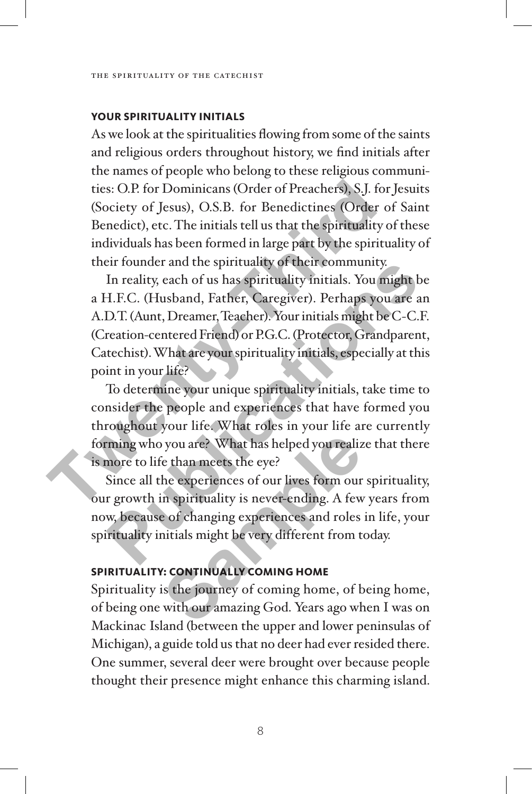#### **Your spirituality initials**

As we look at the spiritualities flowing from some of the saints and religious orders throughout history, we find initials after the names of people who belong to these religious communities: O.P. for Dominicans (Order of Preachers), S.J. for Jesuits (Society of Jesus), O.S.B. for Benedictines (Order of Saint Benedict), etc. The initials tell us that the spirituality of these individuals has been formed in large part by the spirituality of their founder and the spirituality of their community.

In reality, each of us has spirituality initials. You might be a H.F.C. (Husband, Father, Caregiver). Perhaps you are an A.D.T. (Aunt, Dreamer, Teacher). Your initials might be C-C.F. (Creation-centered Friend) or P.G.C. (Protector, Grandparent, Catechist). What are your spirituality initials, especially at this point in your life? ties: O.P. for Dominicans (Order of Preachers), S.J. for (Society of Jesus), O.S.B. for Benedictines (Order of Benedict), etc. The initials tell us that the spirituality of individuals has been formed in large part by the Example 12 To the summary of their community.<br>
In reality, each of us has spirituality initials. You might be<br>
H.F.C. (Husband, Father, Caregiver). Perhaps you are an<br>
D.T. (Aunt, Dreamer, Teacher). Your initials might be

To determine your unique spirituality initials, take time to consider the people and experiences that have formed you throughout your life. What roles in your life are currently forming who you are? What has helped you realize that there is more to life than meets the eye?

Since all the experiences of our lives form our spirituality, our growth in spirituality is never-ending. A few years from now, because of changing experiences and roles in life, your spirituality initials might be very different from today. Solution 2012 What has helped you realize<br>
See than meets the eye?<br>
The experiences of our lives form our<br>
in spirituality is never-ending. A few<br>
of changing experiences and roles<br>
nitials might be very different from the

#### **Spirituality: continually coming home**

Spirituality is the journey of coming home, of being home, of being one with our amazing God. Years ago when I was on Mackinac Island (between the upper and lower peninsulas of Michigan), a guide told us that no deer had ever resided there. One summer, several deer were brought over because people thought their presence might enhance this charming island.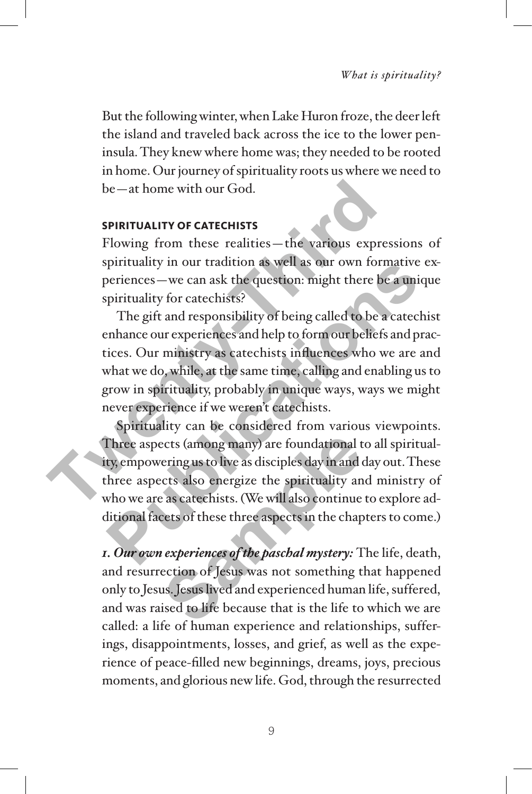But the following winter, when Lake Huron froze, the deer left the island and traveled back across the ice to the lower peninsula. They knew where home was; they needed to be rooted in home. Our journey of spirituality roots us where we need to be—at home with our God.

#### **Spirituality of catechists**

Flowing from these realities—the various expressions of spirituality in our tradition as well as our own formative experiences—we can ask the question: might there be a unique spirituality for catechists?

The gift and responsibility of being called to be a catechist enhance our experiences and help to form our beliefs and practices. Our ministry as catechists influences who we are and what we do, while, at the same time, calling and enabling us to grow in spirituality, probably in unique ways, ways we might never experience if we weren't catechists. be—at home with our God.<br> **SPIRITUALITY OF CATECHISTS**<br>
Flowing from these realities—the various expres<br>
spirituality in our tradition as well as our own form<br>
periences—we can ask the question: might there be<br>
spiritualit

Spirituality can be considered from various viewpoints. Three aspects (among many) are foundational to all spirituality, empowering us to live as disciples day in and day out. These three aspects also energize the spirituality and ministry of who we are as catechists. (We will also continue to explore additional facets of these three aspects in the chapters to come.) purituality in our tradition as well as our own formative experiences — we can ask the question: might there be a uniqu<br>ppirituality for catechists?<br>The gift and responsibility of being called to be a catechis<br>enhance our ects (among many) are foundational tering us to live as disciples day in and ects also energize the spirituality and ects also energize the spirituality and also continue as cate chists. (We will also continue cets of thes

*1. Our own experiences of the paschal mystery:* The life, death, and resurrection of Jesus was not something that happened only to Jesus. Jesus lived and experienced human life, suffered, and was raised to life because that is the life to which we are called: a life of human experience and relationships, sufferings, disappointments, losses, and grief, as well as the experience of peace-filled new beginnings, dreams, joys, precious moments, and glorious new life. God, through the resurrected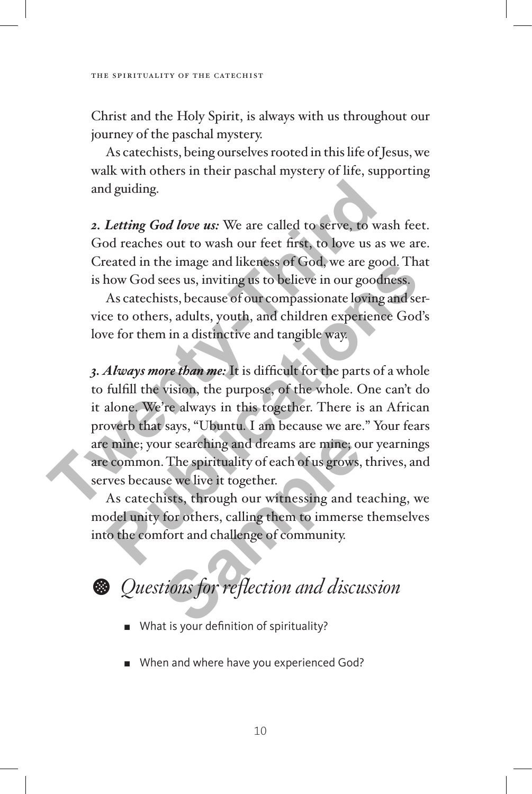Christ and the Holy Spirit, is always with us throughout our journey of the paschal mystery.

As catechists, being ourselves rooted in this life of Jesus, we walk with others in their paschal mystery of life, supporting and guiding.

*2. Letting God love us:* We are called to serve, to wash feet. God reaches out to wash our feet first, to love us as we are. Created in the image and likeness of God, we are good. That is how God sees us, inviting us to believe in our goodness.

As catechists, because of our compassionate loving and service to others, adults, youth, and children experience God's love for them in a distinctive and tangible way.

*3. Always more than me:* It is difficult for the parts of a whole to fulfill the vision, the purpose, of the whole. One can't do it alone. We're always in this together. There is an African proverb that says, "Ubuntu. I am because we are." Your fears are mine; your searching and dreams are mine; our yearnings are common. The spirituality of each of us grows, thrives, and serves because we live it together. and guiding.<br>
2. Letting God love us: We are called to serve, to was<br>
God reaches out to wash our feet first, to love us as v<br>
Created in the image and likeness of God, we are good<br>
is how God sees us, inviting us to belie eated in the image and ikeness or God, we are good. That<br>how God sees us, inviting us to believe in our goodness.<br>As catechists, because of our compassionate loving and ser-<br>te to others, adults, youth, and children experi ur searching and dreams are mine; on<br>
The spirituality of each of us grows,<br>
se we live it together.<br>
sets, through our witnessing and to<br>
for others, calling them to immerse<br>
fort and challenge of community.<br>
tions for re

As catechists, through our witnessing and teaching, we model unity for others, calling them to immerse themselves into the comfort and challenge of community.

K *Questions for reflection and discussion*

- What is your definition of spirituality?
- When and where have you experienced God?